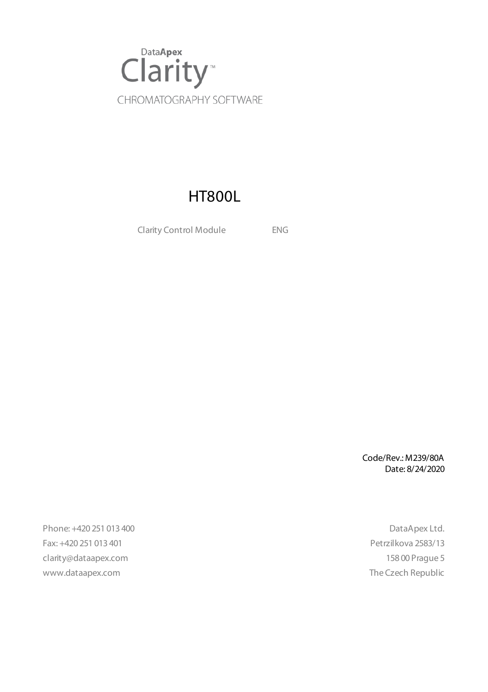

# HT800L

Clarity Control Module ENG

Code/Rev.: M239/80A Date: 8/24/2020

Phone: +420 251 013 400 DataApex Ltd. Fax: +420 251 013 401 Petrzilkova 2583/13 clarity@dataapex.com 158 00 Prague 5 www.dataapex.com **The Czech Republic** Republic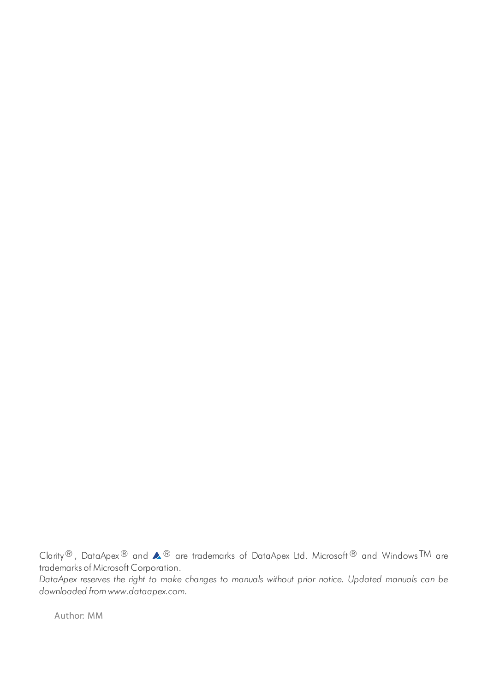Clarity®, DataApex® and  $\triangle$ <sup>®</sup> are trademarks of DataApex Ltd. Microsoft® and Windows TM are trademarks of Microsoft Corporation.

*DataApex reserves the right to make changes to manuals without prior notice. Updated manuals can be downloaded from www.dataapex.com.*

Author: MM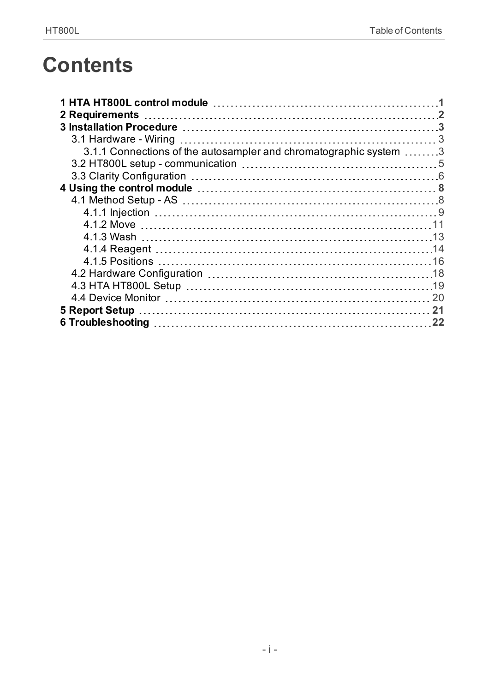# **Contents**

| 3.1.1 Connections of the autosampler and chromatographic system  3 |  |
|--------------------------------------------------------------------|--|
|                                                                    |  |
|                                                                    |  |
|                                                                    |  |
|                                                                    |  |
|                                                                    |  |
|                                                                    |  |
|                                                                    |  |
|                                                                    |  |
|                                                                    |  |
|                                                                    |  |
|                                                                    |  |
|                                                                    |  |
|                                                                    |  |
|                                                                    |  |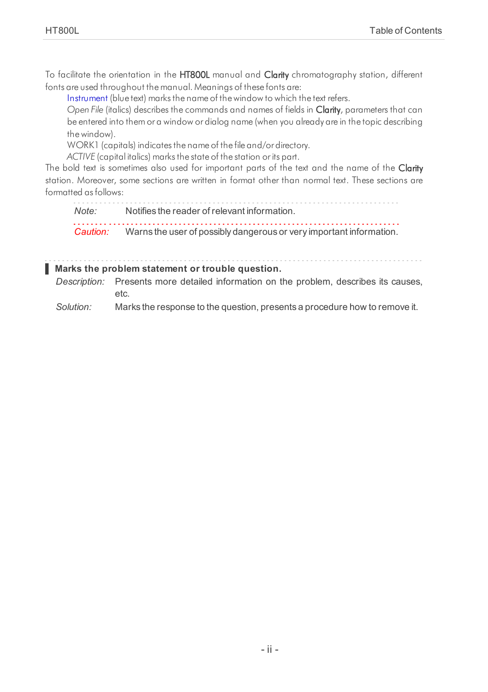To facilitate the orientation in the HT800L manual and Clarity chromatography station, different fonts are used throughout the manual. Meanings of these fonts are:

[Instrument](ms-its:Clarity.chm::/Help/020-instrument/020.000-instrument/020-instrument.htm) (blue text) marks the name of the window to which the text refers.

*Open File* (italics) describes the commands and names of fields in Clarity, parameters that can be entered into them or a window or dialog name (when you already are in the topic describing thewindow).

WORK1 (capitals) indicates the name of the file and/or directory.

*ACTIVE* (capital italics) marks the state of the station or its part.

The bold text is sometimes also used for important parts of the text and the name of the Clarity station. Moreover, some sections are written in format other than normal text. These sections are formatted asfollows:

*Note:* Notifies the reader of relevant information. *Caution:* Warns the user of possibly dangerous or very important information.

#### **▌ Marks the problem statement or trouble question.**

*Description:* Presents more detailed information on the problem, describes its causes, etc.

*Solution:* Marks the response to the question, presents a procedure how to remove it.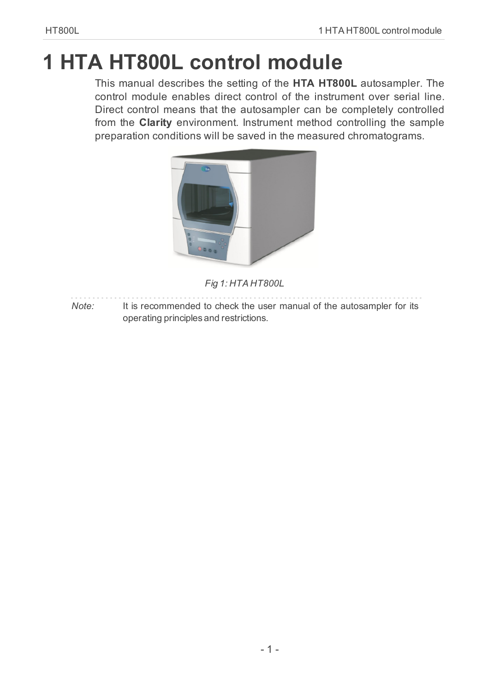# <span id="page-4-0"></span>**1 HTA HT800L control module**

This manual describes the setting of the **HTA HT800L** autosampler. The control module enables direct control of the instrument over serial line. Direct control means that the autosampler can be completely controlled from the **Clarity** environment. Instrument method controlling the sample preparation conditions will be saved in the measured chromatograms.



*Fig 1: HTA HT800L*

*Note:* It is recommended to check the user manual of the autosampler for its operating principles and restrictions.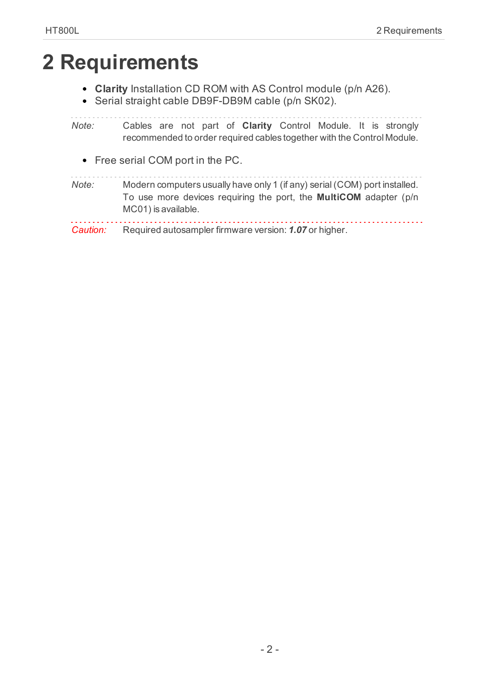# <span id="page-5-0"></span>**2 Requirements**

- **Clarity** Installation CD ROM with AS Control module (p/n A26).
- Serial straight cable DB9F-DB9M cable (p/n SK02).

*Note:* Cables are not part of **Clarity** Control Module. It is strongly recommended to order required cables together with the Control Module.

Free serial COM port in the PC.

| Note: | Modern computers usually have only 1 (if any) serial (COM) port installed.                      |  |  |  |  |
|-------|-------------------------------------------------------------------------------------------------|--|--|--|--|
|       | To use more devices requiring the port, the <b>MultiCOM</b> adapter (p/n<br>MC01) is available. |  |  |  |  |
|       |                                                                                                 |  |  |  |  |

*Caution:* Required autosampler firmware version: *1.07* or higher.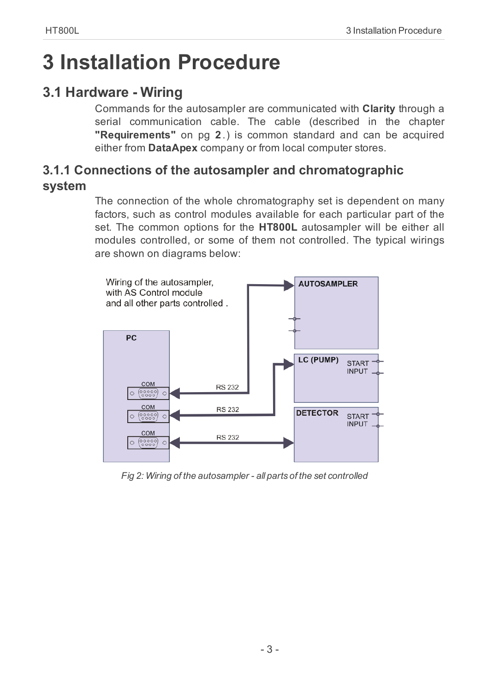# <span id="page-6-0"></span>**3 Installation Procedure**

# <span id="page-6-1"></span>**3.1 Hardware - Wiring**

Commands for the autosampler are communicated with **Clarity** through a serial communication cable. The cable (described in the [chapter](#page-5-0) **["Requirements"](#page-5-0)** on pg **2**.) is common standard and can be acquired either from **DataApex** company or from local computer stores.

# <span id="page-6-2"></span>**3.1.1 Connections of the autosampler and chromatographic system**

The connection of the whole chromatography set is dependent on many factors, such as control modules available for each particular part of the set. The common options for the **HT800L** autosampler will be either all modules controlled, or some of them not controlled. The typical wirings are shown on diagrams below:



*Fig 2: Wiring of the autosampler - all parts of the set controlled*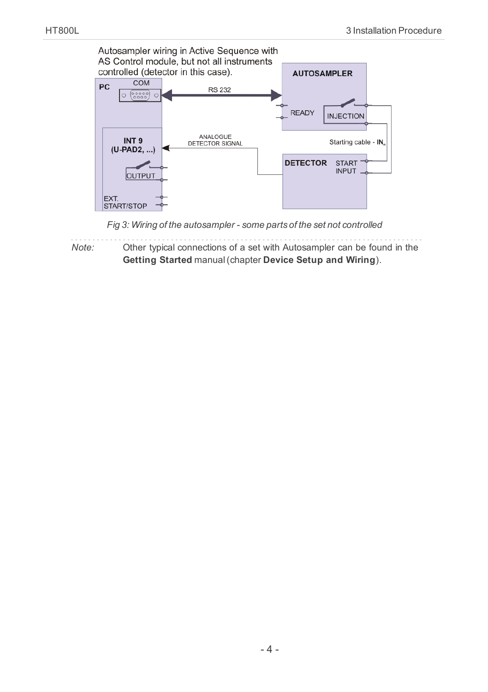

*Fig 3: Wiring of the autosampler - some parts of the set not controlled*

*Note:* Other typical connections of a set with Autosampler can be found in the **Getting Started** manual(chapter **Device Setup and Wiring**).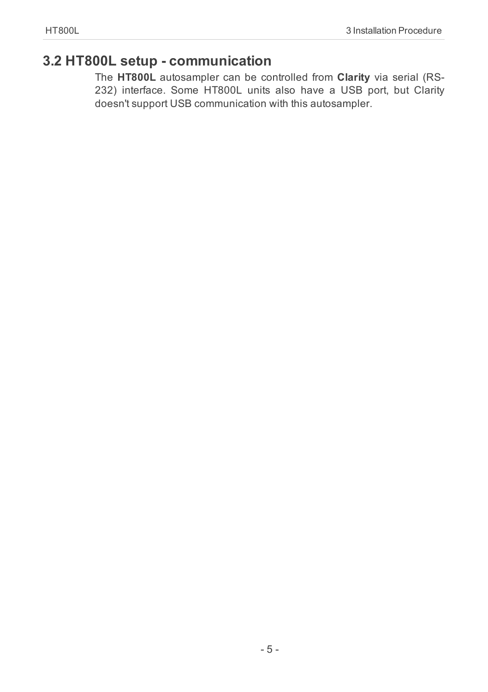# <span id="page-8-0"></span>**3.2 HT800L setup - communication**

The **HT800L** autosampler can be controlled from **Clarity** via serial (RS-232) interface. Some HT800L units also have a USB port, but Clarity doesn't support USB communication with this autosampler.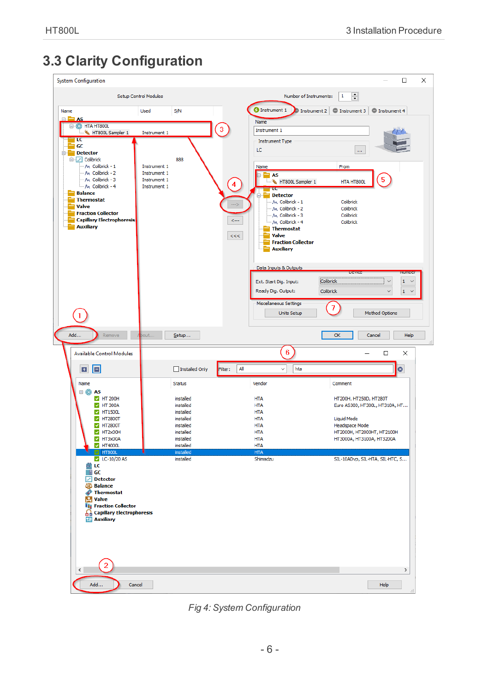# <span id="page-9-0"></span>**3.3 Clarity Configuration**



<span id="page-9-1"></span>*Fig 4: System Configuration*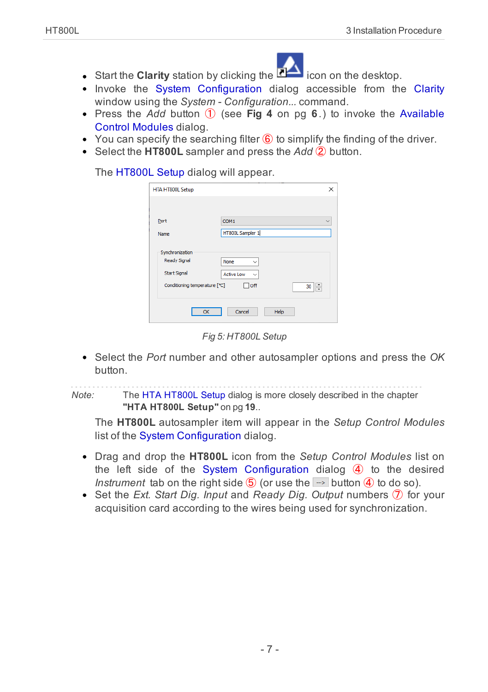

- Start the **Clarity** station by clicking the **interval** icon on the desktop.
- Invoke the System [Configuration](ms-its:Clarity.chm::/Help/010-clarity/010.010-system/010.010-configuration.htm) dialog accessible from the [Clarity](ms-its:Clarity.chm::/Help/010-clarity/010.000-clarity/010-clarity.htm) window using the *System - Configuration...* command.
- Press the *Add* button ① (see **[Fig](#page-9-1) 4** on pg **6**.) to invoke the [Available](ms-its:Clarity.chm::/Help/010-clarity/010.010-system/010.010-available-control-modules.htm) Control [Modules](ms-its:Clarity.chm::/Help/010-clarity/010.010-system/010.010-available-control-modules.htm) dialog.
- $\bullet$  You can specify the searching filter  $\circled6$  to simplify the finding of the driver.
- Select the **HT800L** sampler and press the *Add* ② button.

The [HT800L](#page-22-0) Setup dialog will appear.

| HTA HT800L Setup                                              | ×                                                         |
|---------------------------------------------------------------|-----------------------------------------------------------|
|                                                               |                                                           |
| Port                                                          | COM <sub>1</sub>                                          |
| Name                                                          | HT800L Sampler 1                                          |
| Synchronization<br><b>Ready Signal</b><br><b>Start Signal</b> | None<br>$\checkmark$<br><b>Active Low</b><br>$\checkmark$ |
| Conditioning temperature [°C]                                 | $\Box$ off<br>÷<br>30                                     |
| OK                                                            | Cancel<br>Help                                            |

*Fig 5: HT800L Setup*

Select the *Port* number and other autosampler options and press the *OK* button.

*Note:* The HTA [HT800L](#page-9-0) Setup dialog is more closely described in the [chapter](#page-22-0) **"HTA [HT800L](#page-22-0) Setup"** on pg **19**..

The **HT800L** autosampler item will appear in the *Setup Control Modules* list of the System [Configuration](ms-its:Clarity.chm::/Help/010-clarity/010.010-system/010.010-configuration.htm) dialog.

- Drag and drop the **HT800L** icon from the *Setup Control Modules* list on the left side of the System [Configuration](ms-its:Clarity.chm::/Help/010-clarity/010.010-system/010.010-configuration.htm) dialog  $\overline{4}$  to the desired *Instrument* tab on the right side  $\overline{6}$  (or use the  $\rightarrow$  button  $\overline{4}$ ) to do so).
- Set the *Ext. Start Dig. Input* and *Ready Dig. Output* numbers ⑦ for your acquisition card according to the wires being used for synchronization.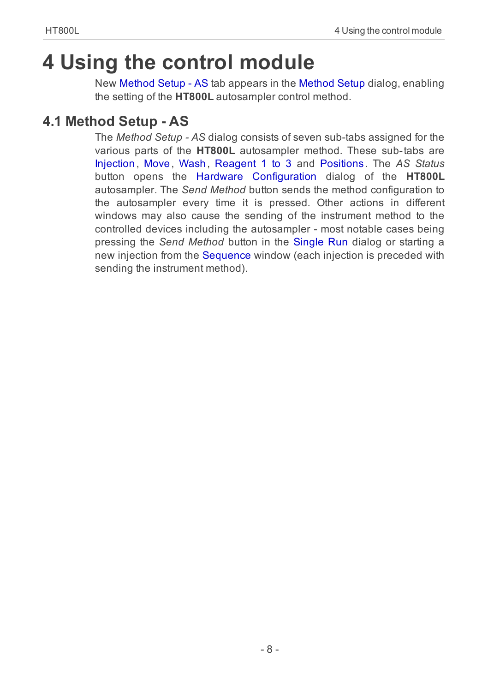# <span id="page-11-0"></span>**4 Using the control module**

New [Method](#page-11-1) Setup - AS tab appears in the [Method](ms-its:Clarity.chm::/Help/020-instrument/020.040-method/020.040-method.htm) Setup dialog, enabling the setting of the **HT800L** autosampler control method.

# <span id="page-11-1"></span>**4.1 Method Setup - AS**

The *Method Setup - AS* dialog consists of seven sub-tabs assigned for the various parts of the **HT800L** autosampler method. These sub-tabs are [Injection](#page-12-0) , [Move](#page-14-0) , [Wash](#page-16-0) , [Reagent](#page-17-0) 1 to 3 and [Positions](#page-19-0). The *AS Status* button opens the Hardware [Configuration](#page-21-0) dialog of the **HT800L** autosampler. The *Send Method* button sends the method configuration to the autosampler every time it is pressed. Other actions in different windows may also cause the sending of the instrument method to the controlled devices including the autosampler - most notable cases being pressing the *Send Method* button in the [Single](ms-its:Clarity.chm::/Help/020-instrument/020.030-analysis/020.030-single.htm) Run dialog or starting a new injection from the [Sequence](ms-its:Clarity.chm::/Help/060-sequence/060.000-sequence/060-sequence.htm) window (each injection is preceded with sending the instrument method).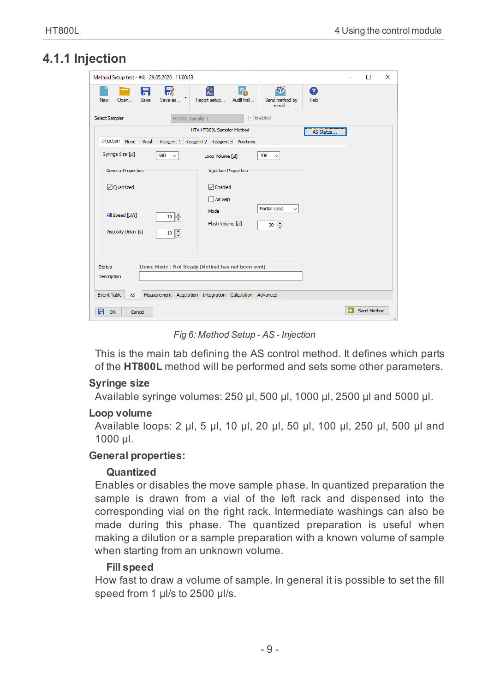# <span id="page-12-0"></span>**4.1.1 Injection**

| Method Setup test - #4; 29.05.2020 11:00:53                                                                                                                                                                                                                                                                                                      | $\times$<br>п           |
|--------------------------------------------------------------------------------------------------------------------------------------------------------------------------------------------------------------------------------------------------------------------------------------------------------------------------------------------------|-------------------------|
| 尉<br>序<br>忥<br>A<br>F.<br>0<br>Save<br>Save as<br>Report setup<br>Send method by<br>New<br>Open<br>Audit trail<br>Help<br>e-mail                                                                                                                                                                                                                 |                         |
| $\sqrt{\ }$ Enabled<br>Select Sampler<br>HT800L Sampler 1<br>$\overline{\phantom{0}}$                                                                                                                                                                                                                                                            |                         |
| HTA HT800L Sampler Method<br>Injection Move<br>Wash<br>Reagent 1<br>Reagent 2 Reagent 3 Positions<br>Syringe Size [µ]                                                                                                                                                                                                                            | AS Status               |
| 500<br>100<br>$\checkmark$<br>Loop Volume [ul]<br>$\checkmark$<br><b>General Properties</b><br><b>Injection Properties</b><br>$\nabla$ Enabled<br><b>⊘uantized</b><br>Air Gap<br>Partial Loop<br>$\checkmark$<br>Mode<br>Fill Speed [µl/s]<br>$\ddot{\cdot}$<br>10<br>Flush Volume [µl]<br>$\frac{1}{x}$<br>30<br>Viscosity Delay [s]<br>÷<br>10 |                         |
| Demo Mode : Not Ready (Method has not been sent)<br><b>Status</b><br>Description<br><b>Event Table</b><br>Measurement Acquisition Integration Calculation Advanced<br><b>AS</b><br>日<br>OK<br>Cancel                                                                                                                                             | Send Method<br>$\ldots$ |

*Fig 6: Method Setup - AS - Injection*

This is the main tab defining the AS control method. It defines which parts of the **HT800L** method will be performed and sets some other parameters.

#### **Syringe size**

Available syringe volumes: 250 μl, 500 μl, 1000 μl, 2500 μl and 5000 μl.

#### **Loop volume**

Available loops: 2 μl, 5 μl, 10 μl, 20 μl, 50 μl, 100 μl, 250 μl, 500 μl and 1000 μl.

#### **General properties:**

#### **Quantized**

Enables or disables the move sample phase. In quantized preparation the sample is drawn from a vial of the left rack and dispensed into the corresponding vial on the right rack. Intermediate washings can also be made during this phase. The quantized preparation is useful when making a dilution or a sample preparation with a known volume of sample when starting from an unknown volume.

#### **Fill speed**

How fast to draw a volume of sample. In general it is possible to set the fill speed from 1 μl/s to 2500 μl/s.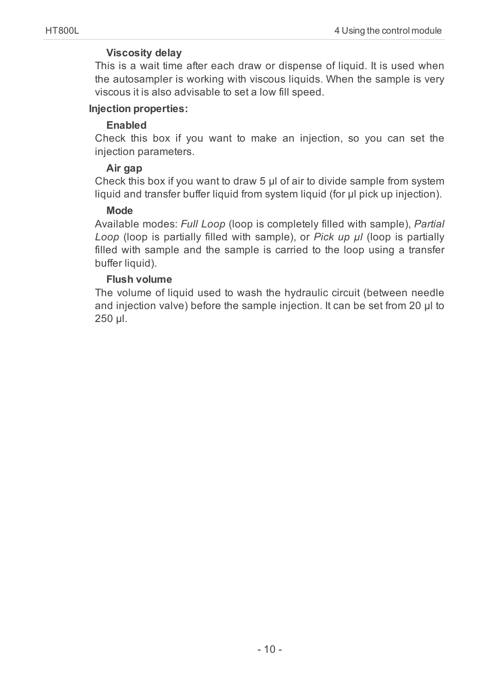## **Viscosity delay**

This is a wait time after each draw or dispense of liquid. It is used when the autosampler is working with viscous liquids. When the sample is very viscous it is also advisable to set a low fill speed.

#### **Injection properties:**

## **Enabled**

Check this box if you want to make an injection, so you can set the injection parameters.

## **Air gap**

Check this box if you want to draw 5 μl of air to divide sample from system liquid and transfer buffer liquid from system liquid (for μl pick up injection).

## **Mode**

Available modes: *Full Loop* (loop is completely filled with sample), *Partial Loop* (loop is partially filled with sample), or *Pick up μl* (loop is partially filled with sample and the sample is carried to the loop using a transfer buffer liquid).

## **Flush volume**

The volume of liquid used to wash the hydraulic circuit (between needle and injection valve) before the sample injection. It can be set from 20 μl to 250 μl.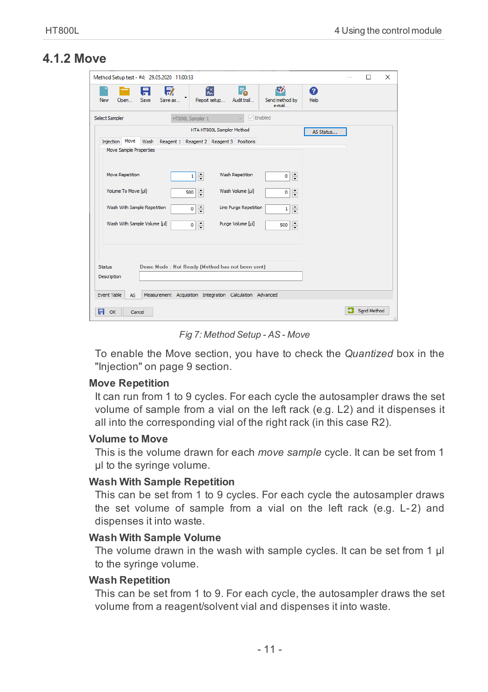# <span id="page-14-0"></span>**4.1.2 Move**

| Method Setup test - #4; 29.05.2020 11:00:53                                                                                                   | $\Box$      | $\times$ |
|-----------------------------------------------------------------------------------------------------------------------------------------------|-------------|----------|
| 尉<br>ᇯ<br>57<br>F.<br>Ħ<br>0<br>٠<br>Save<br>Save as<br>Report setup<br>Audit trail<br>Send method by<br>Help<br><b>New</b><br>Open<br>e-mail |             |          |
| $\sqrt{\frac{1}{2}}$ Enabled<br>Select Sampler<br>HT800L Sampler 1<br>$\checkmark$                                                            |             |          |
| HTA HT800L Sampler Method<br>AS Status                                                                                                        |             |          |
| Injection Move<br>Wash<br>Reagent 1 Reagent 2 Reagent 3 Positions                                                                             |             |          |
| Move Sample Properties                                                                                                                        |             |          |
|                                                                                                                                               |             |          |
|                                                                                                                                               |             |          |
| Wash Repetition<br><b>Move Repetition</b><br>$\div$<br>$\frac{1}{x}$<br>1<br>0                                                                |             |          |
| Volume To Move [ul]<br>Wash Volume [ul]<br>$\frac{1}{\sqrt{2}}$<br>$\frac{1}{\tau}$<br>500<br>0                                               |             |          |
|                                                                                                                                               |             |          |
| Wash With Sample Repetition<br>Line Purge Repetition<br>$\hat{\cdot}$<br>$\hat{\cdot}$<br>$\circ$<br>1                                        |             |          |
| Wash With Sample Volume [µl]<br>Purge Volume [µi]<br>$\frac{1}{\sqrt{2}}$<br>$\div$<br>0<br>500                                               |             |          |
|                                                                                                                                               |             |          |
|                                                                                                                                               |             |          |
|                                                                                                                                               |             |          |
|                                                                                                                                               |             |          |
| Demo Mode : Not Ready (Method has not been sent)<br><b>Status</b>                                                                             |             |          |
| Description                                                                                                                                   |             |          |
|                                                                                                                                               |             |          |
| <b>Event Table</b><br>Measurement Acquisition Integration Calculation Advanced<br><b>AS</b>                                                   |             |          |
| 日                                                                                                                                             | Send Method |          |
| OK<br>Cancel                                                                                                                                  |             | .i.      |

*Fig 7: Method Setup - AS - Move*

To enable the Move section, you have to check the *Quantized* box in the ["Injection"](#page-12-0) on page 9 section.

#### **Move Repetition**

It can run from 1 to 9 cycles. For each cycle the autosampler draws the set volume of sample from a vial on the left rack (e.g. L2) and it dispenses it all into the corresponding vial of the right rack (in this case R2).

#### **Volume to Move**

This is the volume drawn for each *move sample* cycle. It can be set from 1 μl to the syringe volume.

#### **Wash With Sample Repetition**

This can be set from 1 to 9 cycles. For each cycle the autosampler draws the set volume of sample from a vial on the left rack (e.g. L-2) and dispenses it into waste.

#### **Wash With Sample Volume**

The volume drawn in the wash with sample cycles. It can be set from 1 μl to the syringe volume.

#### **Wash Repetition**

This can be set from 1 to 9. For each cycle, the autosampler draws the set volume from a reagent/solvent vial and dispenses it into waste.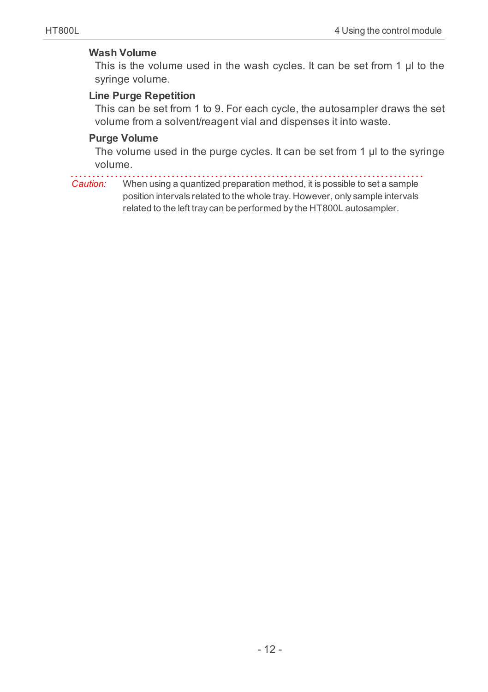## **Wash Volume**

This is the volume used in the wash cycles. It can be set from 1 μl to the syringe volume.

# **Line Purge Repetition**

This can be set from 1 to 9. For each cycle, the autosampler draws the set volume from a solvent/reagent vial and dispenses it into waste.

### **Purge Volume**

The volume used in the purge cycles. It can be set from 1 μl to the syringe volume.

*Caution:* When using a quantized preparation method, it is possible to set a sample position intervals related to the whole tray. However, only sample intervals related to the left tray can be performed by the HT800L autosampler.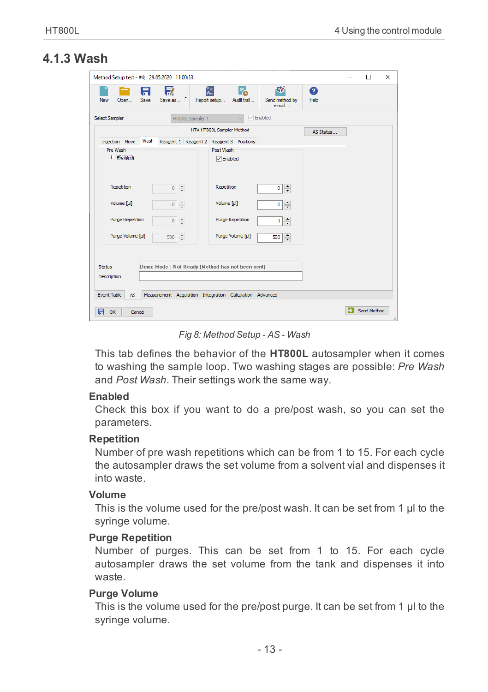# <span id="page-16-0"></span>**4.1.3 Wash**

| Method Setup test - #4; 29.05.2020 11:00:53                                                                                           | $\Box$      | $\times$ |
|---------------------------------------------------------------------------------------------------------------------------------------|-------------|----------|
| 矽<br>收<br>忥<br>F.<br>Ħ<br>Ø<br>٠<br>Save<br>Save as<br>Report setup<br>Audit trail<br>Send method by<br>Help<br>New<br>Open<br>e-mail |             |          |
| $\sqrt{\sqrt{2}}$ Enabled<br>Select Sampler<br>HT800L Sampler 1<br>$\checkmark$                                                       |             |          |
| HTA HT800L Sampler Method<br>AS Status                                                                                                |             |          |
| Wash<br>Injection Move<br>Reagent 1<br>Reagent 2<br>Reagent 3 Positions                                                               |             |          |
| Post Wash<br>Pre Wash                                                                                                                 |             |          |
| $\Box$ Enabled<br><b>∞</b> Enabled                                                                                                    |             |          |
| Repetition<br>Repetition<br>÷<br>$0 \frac{1}{x}$<br>$\mathbf{0}$                                                                      |             |          |
| Volume [µl]<br>Volume [µl]<br>$0 \frac{1}{x}$<br>$\ddot{ }$<br>$\bullet$                                                              |             |          |
| <b>Purge Repetition</b><br><b>Purge Repetition</b><br>$\frac{1}{\tau}$<br>$\frac{1}{\tau}$<br>0<br>$1\vert$                           |             |          |
| Purge Volume [µl]<br>Purge Volume [µl]<br>$\hat{\cdot}$<br>$\frac{1}{x}$<br>500<br>500                                                |             |          |
| Demo Mode : Not Ready (Method has not been sent)<br><b>Status</b><br>Description                                                      |             |          |
| <b>Event Table</b><br>Measurement Acquisition Integration Calculation Advanced<br><b>AS</b>                                           |             |          |
| A<br>OK<br>Cancel                                                                                                                     | Send Method | A.       |

*Fig 8: Method Setup - AS - Wash*

This tab defines the behavior of the **HT800L** autosampler when it comes to washing the sample loop. Two washing stages are possible: *Pre Wash* and *Post Wash*. Their settings work the same way.

#### **Enabled**

Check this box if you want to do a pre/post wash, so you can set the parameters.

#### **Repetition**

Number of pre wash repetitions which can be from 1 to 15. For each cycle the autosampler draws the set volume from a solvent vial and dispenses it into waste.

#### **Volume**

This is the volume used for the pre/post wash. It can be set from 1 μl to the syringe volume.

#### **Purge Repetition**

Number of purges. This can be set from 1 to 15. For each cycle autosampler draws the set volume from the tank and dispenses it into waste.

#### **Purge Volume**

This is the volume used for the pre/post purge. It can be set from 1 μl to the syringe volume.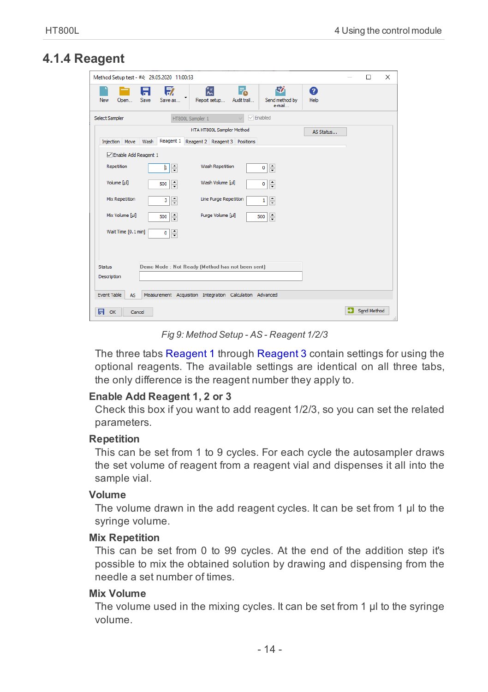# <span id="page-17-0"></span>**4.1.4 Reagent**

| Method Setup test - #4; 29.05.2020 11:00:53                                                                                      | $\Box$      | $\times$ |
|----------------------------------------------------------------------------------------------------------------------------------|-------------|----------|
| 矽<br>财<br>氝<br>F.<br>A<br>Ø<br>Save<br>Save as<br>Report setup<br>Open<br>Audit trail<br>Send method by<br>Help<br>New<br>e-mail |             |          |
| $\sqrt{\sqrt{2}}$ Enabled<br>Select Sampler<br>HT800L Sampler 1<br>$\checkmark$                                                  |             |          |
| HTA HT800L Sampler Method<br>AS Status                                                                                           |             |          |
| Reagent 1<br>Reagent 2 Reagent 3 Positions<br>Injection Move<br>Wash                                                             |             |          |
| □ Enable Add Reagent 1                                                                                                           |             |          |
| Wash Repetition<br>Repetition<br>÷<br>$\frac{1}{\sqrt{2}}$<br>þ.<br>0                                                            |             |          |
| Volume [ul]<br>Wash Volume [µl]<br>$\hat{\cdot}$<br>$\hat{\cdot}$<br>500<br>0                                                    |             |          |
| Mix Repetition<br>$\frac{1}{x}$<br>Line Purge Repetition<br>$\frac{1}{\sqrt{2}}$<br>3<br>1                                       |             |          |
| Mix Volume [µl]<br>Purge Volume [µl]<br>$\hat{\cdot}$<br>$\div$<br>500<br>500                                                    |             |          |
| Wait Time [0.1 min]<br>$\frac{1}{x}$<br>0                                                                                        |             |          |
|                                                                                                                                  |             |          |
| Demo Mode : Not Ready (Method has not been sent)<br><b>Status</b>                                                                |             |          |
| Description                                                                                                                      |             |          |
|                                                                                                                                  |             |          |
| <b>Event Table</b><br>Measurement Acquisition Integration Calculation Advanced<br><b>AS</b>                                      |             |          |
| 日<br>OK<br>Cancel                                                                                                                | Send Method | d.       |

*Fig 9: Method Setup - AS - Reagent 1/2/3*

The three tabs Reagent 1 through Reagent 3 contain settings for using the optional reagents. The available settings are identical on all three tabs, the only difference is the reagent number they apply to.

#### **Enable Add Reagent 1, 2 or 3**

Check this box if you want to add reagent 1/2/3, so you can set the related parameters.

#### **Repetition**

This can be set from 1 to 9 cycles. For each cycle the autosampler draws the set volume of reagent from a reagent vial and dispenses it all into the sample vial.

#### **Volume**

The volume drawn in the add reagent cycles. It can be set from 1 μl to the syringe volume.

#### **Mix Repetition**

This can be set from 0 to 99 cycles. At the end of the addition step it's possible to mix the obtained solution by drawing and dispensing from the needle a set number of times.

#### **Mix Volume**

The volume used in the mixing cycles. It can be set from 1 μl to the syringe volume.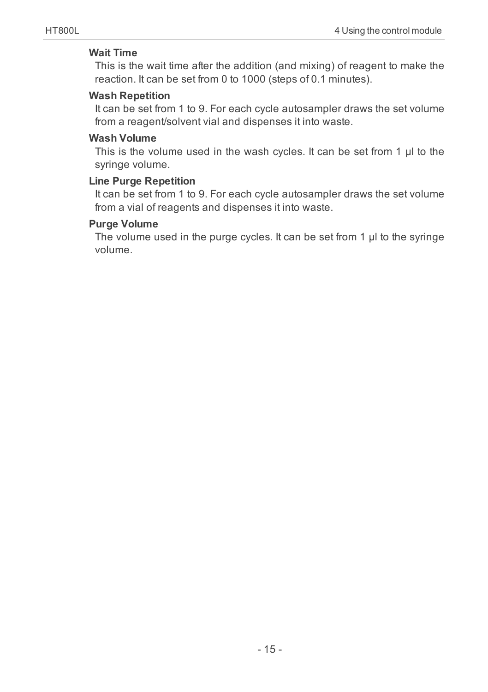## **Wait Time**

This is the wait time after the addition (and mixing) of reagent to make the reaction. It can be set from 0 to 1000 (steps of 0.1 minutes).

# **Wash Repetition**

It can be set from 1 to 9. For each cycle autosampler draws the set volume from a reagent/solvent vial and dispenses it into waste.

# **Wash Volume**

This is the volume used in the wash cycles. It can be set from 1 μl to the syringe volume.

## **Line Purge Repetition**

It can be set from 1 to 9. For each cycle autosampler draws the set volume from a vial of reagents and dispenses it into waste.

## **Purge Volume**

The volume used in the purge cycles. It can be set from 1 μl to the syringe volume.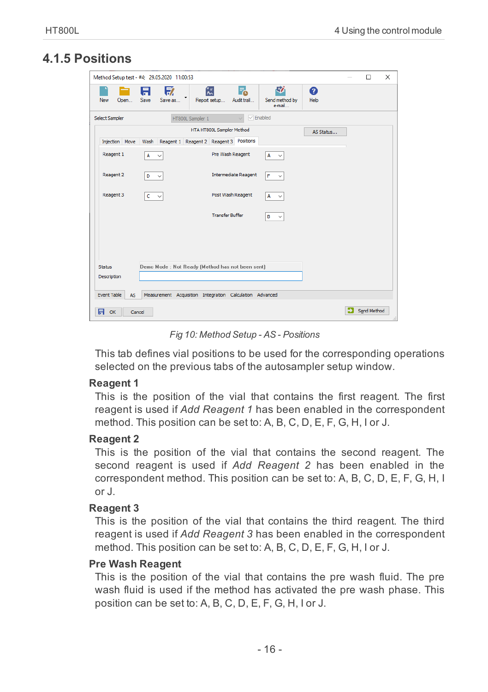# <span id="page-19-0"></span>**4.1.5 Positions**

|                          | Method Setup test - #4; 29.05.2020 11:00:53              |                                         |                               |           | $\Box$      | $\times$ |
|--------------------------|----------------------------------------------------------|-----------------------------------------|-------------------------------|-----------|-------------|----------|
| New<br>Open              | 序<br>Ħ<br>Save<br>Save as                                | 微<br>F.<br>Report setup<br>Audit trail  | 尉<br>Send method by<br>e-mail | 0<br>Help |             |          |
| Select Sampler           | HT800L Sampler 1                                         | $\checkmark$                            | $\sqrt{\sqrt{2}}$ Enabled     |           |             |          |
|                          |                                                          | HTA HT800L Sampler Method               |                               | AS Status |             |          |
| Injection Move           | Wash                                                     | Reagent 1 Reagent 2 Reagent 3 Positions |                               |           |             |          |
| Reagent 1                | A                                                        | Pre Wash Reagent                        | A<br>$\checkmark$             |           |             |          |
| Reagent 2                | D<br>$\checkmark$                                        | <b>Intermediate Reagent</b>             | F<br>$\checkmark$             |           |             |          |
| Reagent 3                | c                                                        | Post Wash Reagent                       | A<br>$\checkmark$             |           |             |          |
|                          |                                                          | <b>Transfer Buffer</b>                  | в<br>$\checkmark$             |           |             |          |
|                          |                                                          |                                         |                               |           |             |          |
|                          |                                                          |                                         |                               |           |             |          |
|                          |                                                          |                                         |                               |           |             |          |
| <b>Status</b>            | Demo Mode : Not Ready (Method has not been sent)         |                                         |                               |           |             |          |
| Description              |                                                          |                                         |                               |           |             |          |
| <b>Event Table</b><br>AS | Measurement Acquisition Integration Calculation Advanced |                                         |                               |           |             |          |
|                          |                                                          |                                         |                               |           |             |          |
| 日<br>OK<br>Cancel        |                                                          |                                         |                               |           | Send Method |          |

*Fig 10: Method Setup - AS - Positions*

This tab defines vial positions to be used for the corresponding operations selected on the previous tabs of the autosampler setup window.

#### **Reagent 1**

This is the position of the vial that contains the first reagent. The first reagent is used if *Add Reagent 1* has been enabled in the correspondent method. This position can be set to: A, B, C, D, E, F, G, H, I or J.

## **Reagent 2**

This is the position of the vial that contains the second reagent. The second reagent is used if *Add Reagent 2* has been enabled in the correspondent method. This position can be set to: A, B, C, D, E, F, G, H, I or J.

#### **Reagent 3**

This is the position of the vial that contains the third reagent. The third reagent is used if *Add Reagent 3* has been enabled in the correspondent method. This position can be set to: A, B, C, D, E, F, G, H, I or J.

#### **Pre Wash Reagent**

This is the position of the vial that contains the pre wash fluid. The pre wash fluid is used if the method has activated the pre wash phase. This position can be set to: A, B, C, D, E, F, G, H, I or J.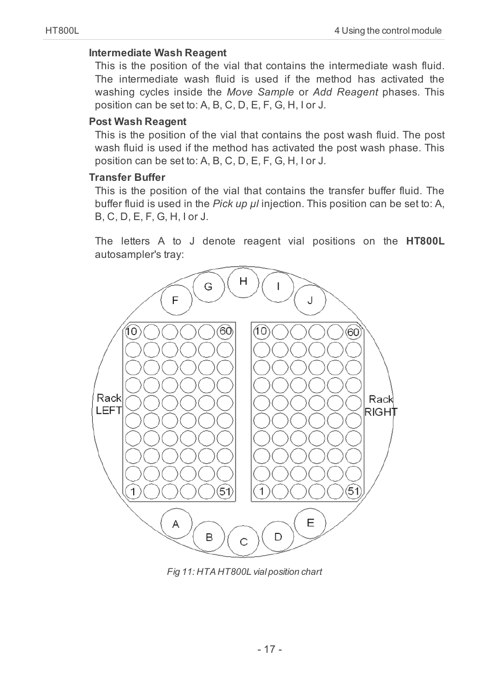#### **Intermediate Wash Reagent**

This is the position of the vial that contains the intermediate wash fluid. The intermediate wash fluid is used if the method has activated the washing cycles inside the *Move Sample* or *Add Reagent* phases. This position can be set to: A, B, C, D, E, F, G, H, I or J.

## **Post Wash Reagent**

This is the position of the vial that contains the post wash fluid. The post wash fluid is used if the method has activated the post wash phase. This position can be set to: A, B, C, D, E, F, G, H, I or J.

### **Transfer Buffer**

This is the position of the vial that contains the transfer buffer fluid. The buffer fluid is used in the *Pick up μl* injection. This position can be set to: A, B, C, D, E, F, G, H, I or J.

The letters A to J denote reagent vial positions on the **HT800L** autosampler's tray:



*Fig 11: HTA HT800L vial position chart*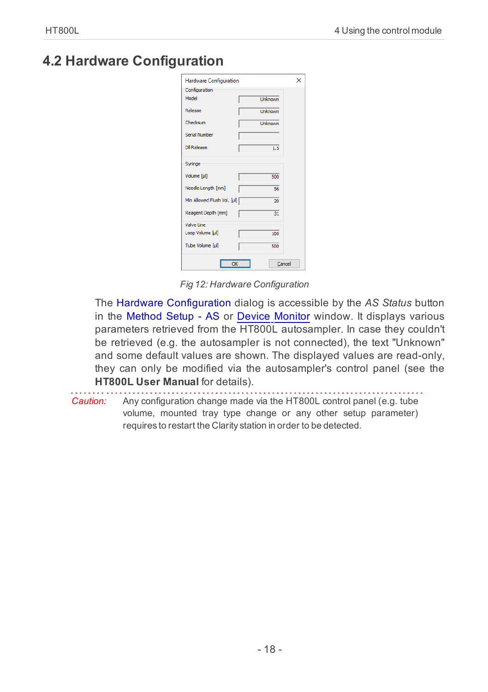# <span id="page-21-0"></span>**4.2 Hardware Configuration**

| <b>Hardware Configuration</b> |                 | $\times$ |
|-------------------------------|-----------------|----------|
| Configuration                 |                 |          |
| Model                         | <b>Unknown</b>  |          |
| Release                       | Unknown         |          |
| Checksum                      | <b>Unknown</b>  |          |
| <b>Serial Number</b>          |                 |          |
| Dil Release                   | 1.5             |          |
| Syringe                       |                 |          |
| Volume [ul]                   | 500             |          |
| Needle Length [mm]            | 56              |          |
| Min Allowed Flush Vol. [µl]   | $\overline{20}$ |          |
| Reagent Depth [mm]            | 31              |          |
| Valve Line                    |                 |          |
| Loop Volume [µl]              | 100             |          |
| <b>Tube Volume full</b>       | 500             |          |
| OK                            |                 | Cancel   |

*Fig 12: Hardware Configuration*

The Hardware Configuration dialog is accessible by the *AS Status* button in the [Method](#page-11-1) Setup - AS or Device [Monitor](#page-23-0) window. It displays various parameters retrieved from the HT800L autosampler. In case they couldn't be retrieved (e.g. the autosampler is not connected), the text "Unknown" and some default values are shown. The displayed values are read-only, they can only be modified via the autosampler's control panel (see the **HT800L User Manual** for details).

*Caution:* Any configuration change made via the HT800L control panel (e.g. tube volume, mounted tray type change or any other setup parameter) requires to restart the Clarity station in order to be detected.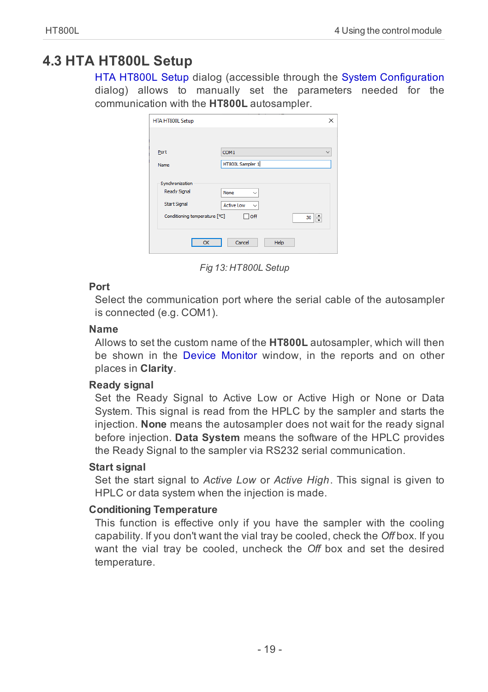# <span id="page-22-0"></span>**4.3 HTA HT800L Setup**

HTA HT800L Setup dialog (accessible through the System [Configuration](ms-its:Clarity.chm::/Help/010-clarity/010.010-system/010.010-configuration.htm) dialog) allows to manually set the parameters needed for the communication with the **HT800L** autosampler.

| Port                          | COM <sub>1</sub>           |         |
|-------------------------------|----------------------------|---------|
| Name                          | HT800L Sampler 1           |         |
|                               |                            |         |
| Synchronization               |                            |         |
| <b>Ready Signal</b>           | None<br>$\checkmark$       |         |
| <b>Start Signal</b>           | Active Low<br>$\checkmark$ |         |
| Conditioning temperature [°C] | $\Box$ off                 | ÷<br>30 |

*Fig 13: HT800L Setup*

# **Port**

Select the communication port where the serial cable of the autosampler is connected (e.g. COM1).

## **Name**

Allows to set the custom name of the **HT800L** autosampler, which will then be shown in the Device [Monitor](ms-its:Clarity.chm::/Help/020-instrument/020.020-monitor/020.020-device-monitor.htm) window, in the reports and on other places in **Clarity**.

# **Ready signal**

Set the Ready Signal to Active Low or Active High or None or Data System. This signal is read from the HPLC by the sampler and starts the injection. **None** means the autosampler does not wait for the ready signal before injection. **Data System** means the software of the HPLC provides the Ready Signal to the sampler via RS232 serial communication.

# **Start signal**

Set the start signal to *Active Low* or *Active High*. This signal is given to HPLC or data system when the injection is made.

# **Conditioning Temperature**

This function is effective only if you have the sampler with the cooling capability. If you don't want the vial tray be cooled, check the *Off* box. If you want the vial tray be cooled, uncheck the *Off* box and set the desired temperature.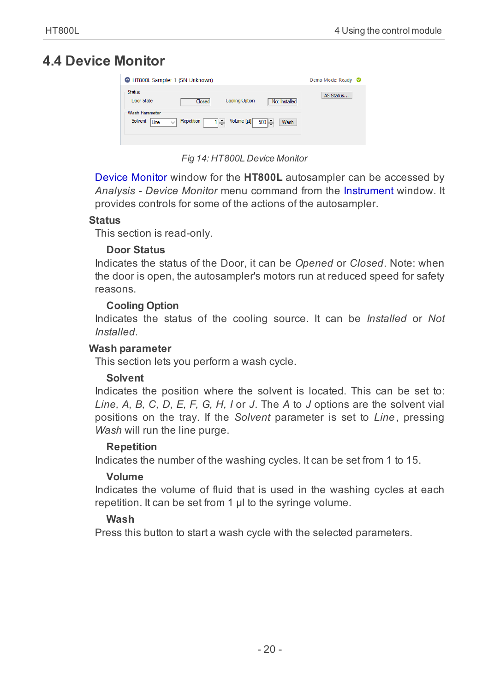# <span id="page-23-0"></span>**4.4 Device Monitor**

|                                   | HT800L Sampler 1 (SN Unknown)                                                                 | Demo Mode: Ready ©         |
|-----------------------------------|-----------------------------------------------------------------------------------------------|----------------------------|
| <b>Status</b><br>Door State       | <b>Cooling Option</b><br>Closed                                                               | AS Status<br>Not Installed |
| Wash Parameter<br>Solvent<br>Line | Volume [µl]<br>Repetition<br>$1$ <sup><math>\sim</math></sup><br>$500$ $\sim$<br>$\checkmark$ | Wash                       |

*Fig 14: HT800L Device Monitor*

Device Monitor window for the **HT800L** autosampler can be accessed by *Analysis - Device Monitor* menu command from the Instrument window. It provides controls for some of the actions of the autosampler.

# **Status**

This section is read-only.

# **Door Status**

Indicates the status of the Door, it can be *Opened* or *Closed*. Note: when the door is open, the autosampler's motors run at reduced speed for safety reasons.

# **Cooling Option**

Indicates the status of the cooling source. It can be *Installed* or *Not Installed*.

# **Wash parameter**

This section lets you perform a wash cycle.

# **Solvent**

Indicates the position where the solvent is located. This can be set to: *Line, A, B, C, D, E, F, G, H, I* or *J*. The *A* to *J* options are the solvent vial positions on the tray. If the *Solvent* parameter is set to *Line*, pressing *Wash* will run the line purge.

# **Repetition**

Indicates the number of the washing cycles. It can be set from 1 to 15.

# **Volume**

Indicates the volume of fluid that is used in the washing cycles at each repetition. It can be set from 1 μl to the syringe volume.

# **Wash**

Press this button to start a wash cycle with the selected parameters.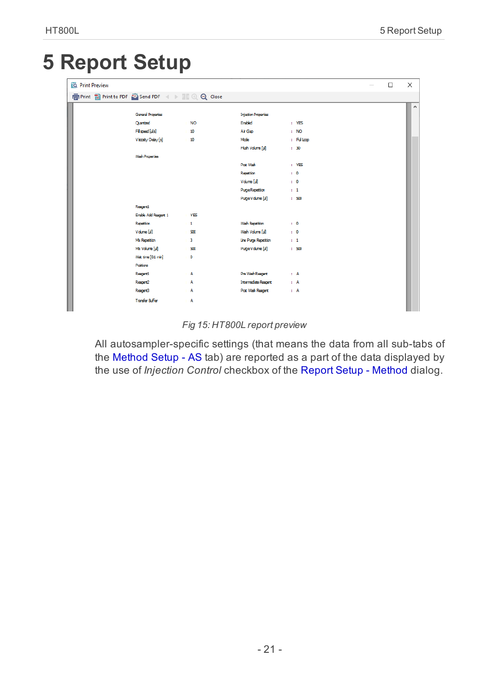# <span id="page-24-0"></span>**5 Report Setup**

| <b>Q</b> Print Preview |                        |                |                             |           | $\Box$ | $\times$ |
|------------------------|------------------------|----------------|-----------------------------|-----------|--------|----------|
|                        |                        |                |                             |           |        |          |
|                        |                        |                |                             |           |        | $\wedge$ |
|                        | General Properties     |                | <b>Injection Properties</b> |           |        |          |
|                        | Quartized              | $\cdot$ NO     | Enabled                     | $+195$    |        |          |
|                        | Fill speed [µ/s]       | 10             | Air Gap                     | : MO      |        |          |
|                        | Viscoity Delay [s]     | 10             | Mode                        | : Fulloco |        |          |
|                        |                        |                | Filsh Volume [µ]            | $1 - 30$  |        |          |
|                        | Wash Properties        |                |                             |           |        |          |
|                        |                        |                | Post Wash                   | $+195$    |        |          |
|                        |                        |                | Repetition                  | $\cdot$ 0 |        |          |
|                        |                        |                | Volume [ul]                 | $\pm 0$   |        |          |
|                        |                        |                | <b>Puge Repetition</b>      | $1 - 1$   |        |          |
|                        |                        |                | Puge Volume [µ]             | $1 - 500$ |        |          |
|                        | Reagert1               |                |                             |           |        |          |
|                        | Enable Add Reagent 1   | $+$ YES        |                             |           |        |          |
|                        | Repetition             | $\pm 1$        | <b>Wash Repetiton</b>       | $\cdot$ 0 |        |          |
|                        | Volme [il]             | 500<br>$\sim$  | Wash Volume [µ]             | $\pm 0$   |        |          |
|                        | Mk Repetion            | $\pm$ 3        | Line Purge Repetition       | $1 - 1$   |        |          |
|                        | Mix Volume [µi]        | $-500$         | Puge Volume [ul]            | : 500     |        |          |
|                        | Wat time [0.1 min]     | $\bullet$<br>× |                             |           |        |          |
|                        | Postons                |                |                             |           |        |          |
|                        | Respond                | A              | Pre Wash Reagent            | $1 - A$   |        |          |
|                        | Reagert2               | A              | <b>Intermediate Reagert</b> | $\pm$ A   |        |          |
|                        | Respert3               | $\therefore$ A | Post Wash Respert           | $+$ A     |        |          |
|                        | <b>Transfer Buffer</b> | $\therefore$ A |                             |           |        |          |

#### *Fig 15: HT800L report preview*

All autosampler-specific settings (that means the data from all sub-tabs of the [Method](#page-11-1) Setup - AS tab) are reported as a part of the data displayed by the use of *Injection Control* checkbox of the Report Setup - [Method](ms-its:Clarity.chm::/Help/080-report-setup/080.000-report-setup/080-method.htm) dialog.